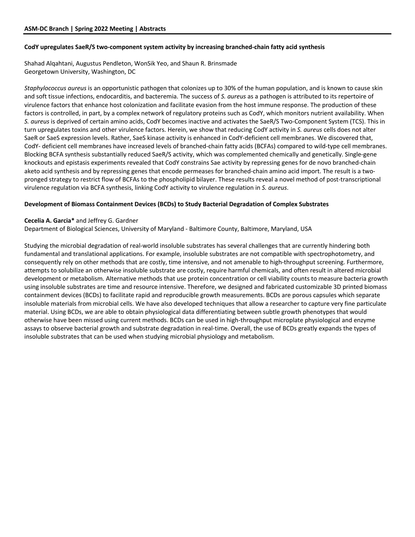### **CodY upregulates SaeR/S two-component system activity by increasing branched-chain fatty acid synthesis**

Shahad Alqahtani, Augustus Pendleton, WonSik Yeo, and Shaun R. Brinsmade Georgetown University, Washington, DC

*Staphylococcus aureus* is an opportunistic pathogen that colonizes up to 30% of the human population, and is known to cause skin and soft tissue infections, endocarditis, and bacteremia. The success of *S. aureus* as a pathogen is attributed to its repertoire of virulence factors that enhance host colonization and facilitate evasion from the host immune response. The production of these factors is controlled, in part, by a complex network of regulatory proteins such as CodY, which monitors nutrient availability. When *S. aureus* is deprived of certain amino acids, CodY becomes inactive and activates the SaeR/S Two-Component System (TCS). This in turn upregulates toxins and other virulence factors. Herein, we show that reducing CodY activity in *S. aureus* cells does not alter SaeR or SaeS expression levels. Rather, SaeS kinase activity is enhanced in CodY-deficient cell membranes. We discovered that, CodY- deficient cell membranes have increased levels of branched-chain fatty acids (BCFAs) compared to wild-type cell membranes. Blocking BCFA synthesis substantially reduced SaeR/S activity, which was complemented chemically and genetically. Single-gene knockouts and epistasis experiments revealed that CodY constrains Sae activity by repressing genes for de novo branched-chain aketo acid synthesis and by repressing genes that encode permeases for branched-chain amino acid import. The result is a twopronged strategy to restrict flow of BCFAs to the phospholipid bilayer. These results reveal a novel method of post-transcriptional virulence regulation via BCFA synthesis, linking CodY activity to virulence regulation in *S. aureus*.

# **Development of Biomass Containment Devices (BCDs) to Study Bacterial Degradation of Complex Substrates**

## **Cecelia A. Garcia\*** and Jeffrey G. Gardner

Department of Biological Sciences, University of Maryland - Baltimore County, Baltimore, Maryland, USA

Studying the microbial degradation of real-world insoluble substrates has several challenges that are currently hindering both fundamental and translational applications. For example, insoluble substrates are not compatible with spectrophotometry, and consequently rely on other methods that are costly, time intensive, and not amenable to high-throughput screening. Furthermore, attempts to solubilize an otherwise insoluble substrate are costly, require harmful chemicals, and often result in altered microbial development or metabolism. Alternative methods that use protein concentration or cell viability counts to measure bacteria growth using insoluble substrates are time and resource intensive. Therefore, we designed and fabricated customizable 3D printed biomass containment devices (BCDs) to facilitate rapid and reproducible growth measurements. BCDs are porous capsules which separate insoluble materials from microbial cells. We have also developed techniques that allow a researcher to capture very fine particulate material. Using BCDs, we are able to obtain physiological data differentiating between subtle growth phenotypes that would otherwise have been missed using current methods. BCDs can be used in high-throughput microplate physiological and enzyme assays to observe bacterial growth and substrate degradation in real-time. Overall, the use of BCDs greatly expands the types of insoluble substrates that can be used when studying microbial physiology and metabolism.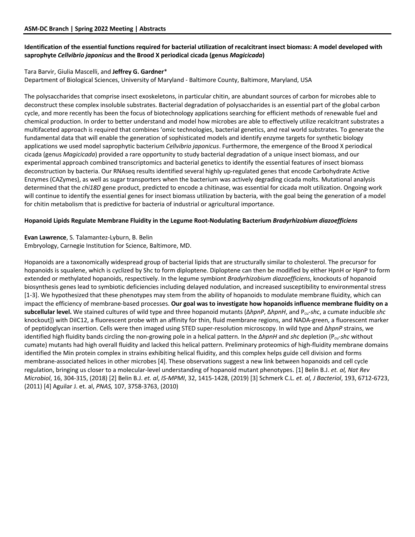# **Identification of the essential functions required for bacterial utilization of recalcitrant insect biomass: A model developed with saprophyte** *Cellvibrio japonicus* **and the Brood X periodical cicada (genus** *Magicicada***)**

# Tara Barvir, Giulia Mascelli, and **Jeffrey G. Gardner**\*

Department of Biological Sciences, University of Maryland - Baltimore County, Baltimore, Maryland, USA

The polysaccharides that comprise insect exoskeletons, in particular chitin, are abundant sources of carbon for microbes able to deconstruct these complex insoluble substrates. Bacterial degradation of polysaccharides is an essential part of the global carbon cycle, and more recently has been the focus of biotechnology applications searching for efficient methods of renewable fuel and chemical production. In order to better understand and model how microbes are able to effectively utilize recalcitrant substrates a multifaceted approach is required that combines 'omic technologies, bacterial genetics, and real world substrates. To generate the fundamental data that will enable the generation of sophisticated models and identify enzyme targets for synthetic biology applications we used model saprophytic bacterium *Cellvibrio japonicus*. Furthermore, the emergence of the Brood X periodical cicada (genus *Magicicada*) provided a rare opportunity to study bacterial degradation of a unique insect biomass, and our experimental approach combined transcriptomics and bacterial genetics to identify the essential features of insect biomass deconstruction by bacteria. Our RNAseq results identified several highly up-regulated genes that encode Carbohydrate Active Enzymes (CAZymes), as well as sugar transporters when the bacterium was actively degrading cicada molts. Mutational analysis determined that the *chi18D* gene product, predicted to encode a chitinase, was essential for cicada molt utilization. Ongoing work will continue to identify the essential genes for insect biomass utilization by bacteria, with the goal being the generation of a model for chitin metabolism that is predictive for bacteria of industrial or agricultural importance.

### **Hopanoid Lipids Regulate Membrane Fluidity in the Legume Root-Nodulating Bacterium** *Bradyrhizobium diazoefficiens*

# **Evan Lawrence**, S. Talamantez-Lyburn, B. Belin

Embryology, Carnegie Institution for Science, Baltimore, MD.

Hopanoids are a taxonomically widespread group of bacterial lipids that are structurally similar to cholesterol. The precursor for hopanoids is squalene, which is cyclized by Shc to form diploptene. Diploptene can then be modified by either HpnH or HpnP to form extended or methylated hopanoids, respectively. In the legume symbiont *Bradyrhizobium diazoefficiens*, knockouts of hopanoid biosynthesis genes lead to symbiotic deficiencies including delayed nodulation, and increased susceptibility to environmental stress [1-3]. We hypothesized that these phenotypes may stem from the ability of hopanoids to modulate membrane fluidity, which can impact the efficiency of membrane-based processes. **Our goal was to investigate how hopanoids influence membrane fluidity on a subcellular level.** We stained cultures of wild type and three hopanoid mutants (Δ*hpnP*, Δ*hpnH*, and Pcu-*shc*, a cumate inducible *shc* knockout]) with DiIC12, a fluorescent probe with an affinity for thin, fluid membrane regions, and NADA-green, a fluorescent marker of peptidoglycan insertion. Cells were then imaged using STED super-resolution microscopy. In wild type and Δ*hpnP* strains, we identified high fluidity bands circling the non-growing pole in a helical pattern. In the Δ*hpnH* and *shc* depletion (Pcu-*shc* without cumate) mutants had high overall fluidity and lacked this helical pattern. Preliminary proteomics of high-fluidity membrane domains identified the Min protein complex in strains exhibiting helical fluidity, and this complex helps guide cell division and forms membrane-associated helices in other microbes [4]. These observations suggest a new link between hopanoids and cell cycle regulation, bringing us closer to a molecular-level understanding of hopanoid mutant phenotypes. [1] Belin B.J. *et. al, Nat Rev Microbiol*, 16, 304-315, (2018) [2] Belin B.J. *et. al*, *IS-MPMI*, 32, 1415-1428, (2019) [3] Schmerk C.L. *et. al, J Bacteriol*, 193, 6712-6723, (2011) [4] Aguilar J. et. al, *PNAS,* 107, 3758-3763, (2010)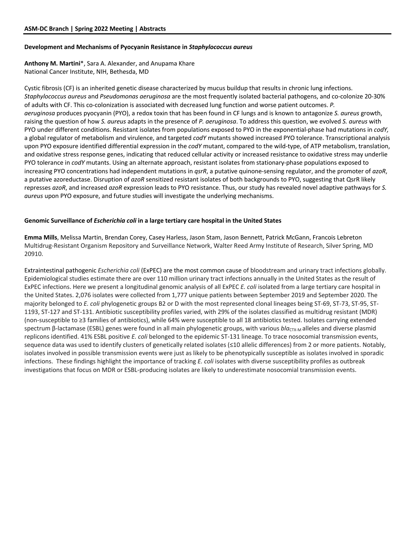#### **Development and Mechanisms of Pyocyanin Resistance in** *Staphylococcus aureus*

**Anthony M. Martini**\*, Sara A. Alexander, and Anupama Khare National Cancer Institute, NIH, Bethesda, MD

Cystic fibrosis (CF) is an inherited genetic disease characterized by mucus buildup that results in chronic lung infections. *Staphylococcus aureus* and *Pseudomonas aeruginosa* are the most frequently isolated bacterial pathogens, and co-colonize 20-30% of adults with CF. This co-colonization is associated with decreased lung function and worse patient outcomes. *P. aeruginosa* produces pyocyanin (PYO), a redox toxin that has been found in CF lungs and is known to antagonize *S. aureus* growth, raising the question of how *S. aureus* adapts in the presence of *P. aeruginosa*. To address this question, we evolved *S. aureus* with PYO under different conditions. Resistant isolates from populations exposed to PYO in the exponential-phase had mutations in *codY,*  a global regulator of metabolism and virulence, and targeted *codY* mutants showed increased PYO tolerance. Transcriptional analysis upon PYO exposure identified differential expression in the *codY* mutant, compared to the wild-type, of ATP metabolism, translation, and oxidative stress response genes, indicating that reduced cellular activity or increased resistance to oxidative stress may underlie PYO tolerance in *codY* mutants. Using an alternate approach, resistant isolates from stationary-phase populations exposed to increasing PYO concentrations had independent mutations in *qsrR*, a putative quinone-sensing regulator, and the promoter of *azoR*, a putative azoreductase. Disruption of *azoR* sensitized resistant isolates of both backgrounds to PYO, suggesting that QsrR likely represses *azoR*, and increased *azoR* expression leads to PYO resistance. Thus, our study has revealed novel adaptive pathways for *S. aureus* upon PYO exposure, and future studies will investigate the underlying mechanisms.

#### **Genomic Surveillance of** *Escherichia coli* **in a large tertiary care hospital in the United States**

**Emma Mills**, Melissa Martin, Brendan Corey, Casey Harless, Jason Stam, Jason Bennett, Patrick McGann, Francois Lebreton Multidrug-Resistant Organism Repository and Surveillance Network, Walter Reed Army Institute of Research, Silver Spring, MD 20910.

Extraintestinal pathogenic *Escherichia coli* (ExPEC) are the most common cause of bloodstream and urinary tract infections globally. Epidemiological studies estimate there are over 110 million urinary tract infections annually in the United States as the result of ExPEC infections. Here we present a longitudinal genomic analysis of all ExPEC *E. coli* isolated from a large tertiary care hospital in the United States. 2,076 isolates were collected from 1,777 unique patients between September 2019 and September 2020. The majority belonged to *E. coli* phylogenetic groups B2 or D with the most represented clonal lineages being ST-69, ST-73, ST-95, ST-1193, ST-127 and ST-131. Antibiotic susceptibility profiles varied, with 29% of the isolates classified as multidrug resistant (MDR) (non-susceptible to ≥3 families of antibiotics), while 64% were susceptible to all 18 antibiotics tested. Isolates carrying extended spectrum β-lactamase (ESBL) genes were found in all main phylogenetic groups, with various *blactx-M* alleles and diverse plasmid replicons identified. 41% ESBL positive *E. coli* belonged to the epidemic ST-131 lineage. To trace nosocomial transmission events, sequence data was used to identify clusters of genetically related isolates (≤10 allelic differences) from 2 or more patients. Notably, isolates involved in possible transmission events were just as likely to be phenotypically susceptible as isolates involved in sporadic infections. These findings highlight the importance of tracking *E. coli* isolates with diverse susceptibility profiles as outbreak investigations that focus on MDR or ESBL-producing isolates are likely to underestimate nosocomial transmission events.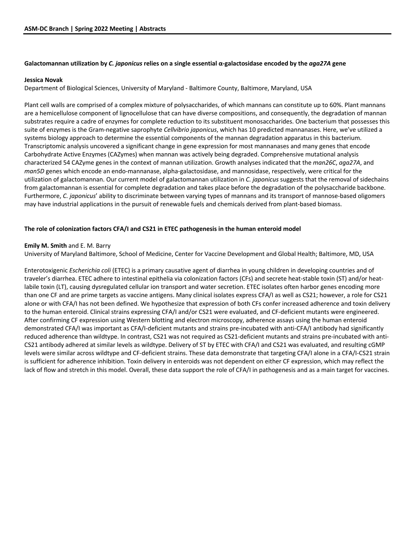# **Galactomannan utilization by** *C. japonicus* **relies on a single essential α-galactosidase encoded by the** *aga27A* **gene**

#### **Jessica Novak**

Department of Biological Sciences, University of Maryland - Baltimore County, Baltimore, Maryland, USA

Plant cell walls are comprised of a complex mixture of polysaccharides, of which mannans can constitute up to 60%. Plant mannans are a hemicellulose component of lignocellulose that can have diverse compositions, and consequently, the degradation of mannan substrates require a cadre of enzymes for complete reduction to its substituent monosaccharides. One bacterium that possesses this suite of enzymes is the Gram-negative saprophyte *Cellvibrio japonicus*, which has 10 predicted mannanases. Here, we've utilized a systems biology approach to determine the essential components of the mannan degradation apparatus in this bacterium. Transcriptomic analysis uncovered a significant change in gene expression for most mannanases and many genes that encode Carbohydrate Active Enzymes (CAZymes) when mannan was actively being degraded. Comprehensive mutational analysis characterized 54 CAZyme genes in the context of mannan utilization. Growth analyses indicated that the *man26C*, *aga27A*, and *man5D* genes which encode an endo-mannanase, alpha-galactosidase, and mannosidase, respectively, were critical for the utilization of galactomannan. Our current model of galactomannan utilization in *C. japonicus* suggests that the removal of sidechains from galactomannan is essential for complete degradation and takes place before the degradation of the polysaccharide backbone. Furthermore, *C. japonicus*' ability to discriminate between varying types of mannans and its transport of mannose-based oligomers may have industrial applications in the pursuit of renewable fuels and chemicals derived from plant-based biomass.

### **The role of colonization factors CFA/I and CS21 in ETEC pathogenesis in the human enteroid model**

#### **Emily M. Smith** and E. M. Barry

University of Maryland Baltimore, School of Medicine, Center for Vaccine Development and Global Health; Baltimore, MD, USA

Enterotoxigenic *Escherichia coli* (ETEC) is a primary causative agent of diarrhea in young children in developing countries and of traveler's diarrhea. ETEC adhere to intestinal epithelia via colonization factors (CFs) and secrete heat-stable toxin (ST) and/or heatlabile toxin (LT), causing dysregulated cellular ion transport and water secretion. ETEC isolates often harbor genes encoding more than one CF and are prime targets as vaccine antigens. Many clinical isolates express CFA/I as well as CS21; however, a role for CS21 alone or with CFA/I has not been defined. We hypothesize that expression of both CFs confer increased adherence and toxin delivery to the human enteroid. Clinical strains expressing CFA/I and/or CS21 were evaluated, and CF-deficient mutants were engineered. After confirming CF expression using Western blotting and electron microscopy, adherence assays using the human enteroid demonstrated CFA/I was important as CFA/I-deficient mutants and strains pre-incubated with anti-CFA/I antibody had significantly reduced adherence than wildtype. In contrast, CS21 was not required as CS21-deficient mutants and strains pre-incubated with anti-CS21 antibody adhered at similar levels as wildtype. Delivery of ST by ETEC with CFA/I and CS21 was evaluated, and resulting cGMP levels were similar across wildtype and CF-deficient strains. These data demonstrate that targeting CFA/I alone in a CFA/I-CS21 strain is sufficient for adherence inhibition. Toxin delivery in enteroids was not dependent on either CF expression, which may reflect the lack of flow and stretch in this model. Overall, these data support the role of CFA/I in pathogenesis and as a main target for vaccines.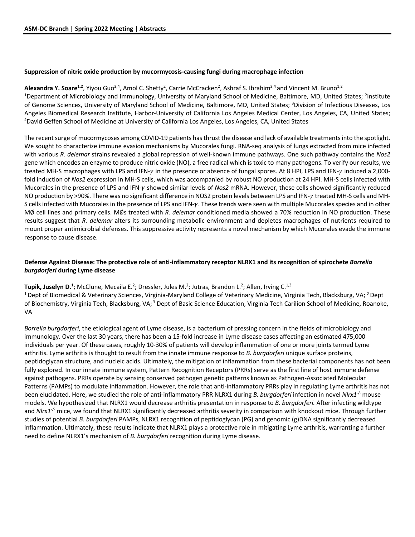# **Suppression of nitric oxide production by mucormycosis-causing fungi during macrophage infection**

Alexandra Y. Soare<sup>1,2</sup>, Yiyou Guo<sup>3,4</sup>, Amol C. Shetty<sup>2</sup>, Carrie McCracken<sup>2</sup>, Ashraf S. Ibrahim<sup>3,4</sup> and Vincent M. Bruno<sup>1,2</sup> <sup>1</sup>Department of Microbiology and Immunology, University of Maryland School of Medicine, Baltimore, MD, United States; <sup>2</sup>Institute of Genome Sciences, University of Maryland School of Medicine, Baltimore, MD, United States; <sup>3</sup>Division of Infectious Diseases, Los Angeles Biomedical Research Institute, Harbor-University of California Los Angeles Medical Center, Los Angeles, CA, United States; 4 <sup>4</sup>David Geffen School of Medicine at University of California Los Angeles, Los Angeles, CA, United States

The recent surge of mucormycoses among COVID-19 patients has thrust the disease and lack of available treatments into the spotlight. We sought to characterize immune evasion mechanisms by Mucorales fungi. RNA-seq analysis of lungs extracted from mice infected with various *R. delemar* strains revealed a global repression of well-known immune pathways. One such pathway contains the *Nos2*  gene which encodes an enzyme to produce nitric oxide (NO), a free radical which is toxic to many pathogens. To verify our results, we treated MH-S macrophages with LPS and IFN- $\gamma$  in the presence or absence of fungal spores. At 8 HPI, LPS and IFN- $\gamma$  induced a 2,000fold induction of *Nos2* expression in MH-S cells, which was accompanied by robust NO production at 24 HPI. MH-S cells infected with Mucorales in the presence of LPS and IFN-y showed similar levels of *Nos2* mRNA. However, these cells showed significantly reduced NO production by >90%. There was no significant difference in NOS2 protein levels between LPS and IFN-y treated MH-S cells and MH-S cells infected with Mucorales in the presence of LPS and IFN- $\gamma$ . These trends were seen with multiple Mucorales species and in other M∅ cell lines and primary cells. M∅s treated with *R. delemar* conditioned media showed a 70% reduction in NO production. These results suggest that *R. delemar* alters its surrounding metabolic environment and depletes macrophages of nutrients required to mount proper antimicrobial defenses. This suppressive activity represents a novel mechanism by which Mucorales evade the immune response to cause disease.

# **Defense Against Disease: The protective role of anti-inflammatory receptor NLRX1 and its recognition of spirochete** *Borrelia burgdorferi* **during Lyme disease**

**Tupik, Juselyn D.<sup>1</sup>;** McClune, Mecaila E.<sup>2</sup>; Dressler, Jules M.<sup>2</sup>; Jutras, Brandon L.<sup>2</sup>; Allen, Irving C.<sup>1,3</sup>

<sup>1</sup> Dept of Biomedical & Veterinary Sciences, Virginia-Maryland College of Veterinary Medicine, Virginia Tech, Blacksburg, VA; <sup>2</sup> Dept of Biochemistry, Virginia Tech, Blacksburg, VA;<sup>3</sup> Dept of Basic Science Education, Virginia Tech Carilion School of Medicine, Roanoke, VA

*Borrelia burgdorferi*, the etiological agent of Lyme disease, is a bacterium of pressing concern in the fields of microbiology and immunology. Over the last 30 years, there has been a 15-fold increase in Lyme disease cases affecting an estimated 475,000 individuals per year. Of these cases, roughly 10-30% of patients will develop inflammation of one or more joints termed Lyme arthritis. Lyme arthritis is thought to result from the innate immune response to *B. burgdorferi* unique surface proteins, peptidoglycan structure, and nucleic acids. Ultimately, the mitigation of inflammation from these bacterial components has not been fully explored. In our innate immune system, Pattern Recognition Receptors (PRRs) serve as the first line of host immune defense against pathogens. PRRs operate by sensing conserved pathogen genetic patterns known as Pathogen-Associated Molecular Patterns (PAMPs) to modulate inflammation. However, the role that anti-inflammatory PRRs play in regulating Lyme arthritis has not been elucidated. Here, we studied the role of anti-inflammatory PRR NLRX1 during *B. burgdorferi* infection in novel *Nlrx1<sup>-/-</sup>* mouse models. We hypothesized that NLRX1 would decrease arthritis presentation in response to *B. burgdorferi.* After infecting wildtype and *Nlrx1<sup>-/-</sup>* mice, we found that NLRX1 significantly decreased arthritis severity in comparison with knockout mice. Through further studies of potential *B. burgdorferi* PAMPs, NLRX1 recognition of peptidoglycan (PG) and genomic (g)DNA significantly decreased inflammation. Ultimately, these results indicate that NLRX1 plays a protective role in mitigating Lyme arthritis, warranting a further need to define NLRX1's mechanism of *B. burgdorferi* recognition during Lyme disease.